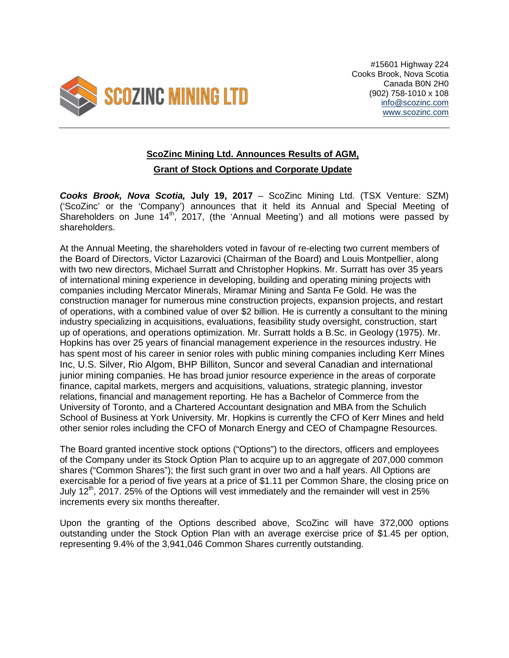

#15601 Highway 224 Cooks Brook, Nova Scotia Canada B0N 2H0 (902) 758-1010 x 108 [info@scozinc.com](mailto:info@scozinc.com) [www.scozinc.com](http://www.scozinc.com/)

## **ScoZinc Mining Ltd. Announces Results of AGM,**

## **Grant of Stock Options and Corporate Update**

*Cooks Brook, Nova Scotia,* **July 19, 2017** – ScoZinc Mining Ltd. (TSX Venture: SZM) ('ScoZinc' or the 'Company') announces that it held its Annual and Special Meeting of Shareholders on June  $14<sup>th</sup>$ , 2017, (the 'Annual Meeting') and all motions were passed by shareholders.

At the Annual Meeting, the shareholders voted in favour of re-electing two current members of the Board of Directors, Victor Lazarovici (Chairman of the Board) and Louis Montpellier, along with two new directors, Michael Surratt and Christopher Hopkins. Mr. Surratt has over 35 years of international mining experience in developing, building and operating mining projects with companies including Mercator Minerals, Miramar Mining and Santa Fe Gold. He was the construction manager for numerous mine construction projects, expansion projects, and restart of operations, with a combined value of over \$2 billion. He is currently a consultant to the mining industry specializing in acquisitions, evaluations, feasibility study oversight, construction, start up of operations, and operations optimization. Mr. Surratt holds a B.Sc. in Geology (1975). Mr. Hopkins has over 25 years of financial management experience in the resources industry. He has spent most of his career in senior roles with public mining companies including Kerr Mines Inc, U.S. Silver, Rio Algom, BHP Billiton, Suncor and several Canadian and international junior mining companies. He has broad junior resource experience in the areas of corporate finance, capital markets, mergers and acquisitions, valuations, strategic planning, investor relations, financial and management reporting. He has a Bachelor of Commerce from the University of Toronto, and a Chartered Accountant designation and MBA from the Schulich School of Business at York University. Mr. Hopkins is currently the CFO of Kerr Mines and held other senior roles including the CFO of Monarch Energy and CEO of Champagne Resources.

The Board granted incentive stock options ("Options") to the directors, officers and employees of the Company under its Stock Option Plan to acquire up to an aggregate of 207,000 common shares ("Common Shares"); the first such grant in over two and a half years. All Options are exercisable for a period of five years at a price of \$1.11 per Common Share, the closing price on July 12<sup>th</sup>, 2017. 25% of the Options will vest immediately and the remainder will vest in 25% increments every six months thereafter.

Upon the granting of the Options described above, ScoZinc will have 372,000 options outstanding under the Stock Option Plan with an average exercise price of \$1.45 per option, representing 9.4% of the 3,941,046 Common Shares currently outstanding.